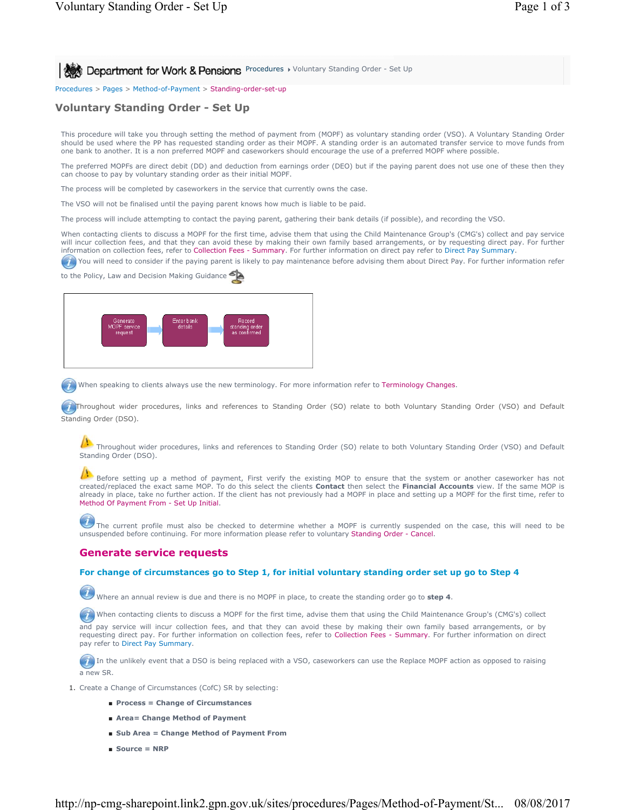**Procedures > Voluntary Standing Order - Set Up** 8 **Department for Work & Pensions** Procedures > Voluntary Standing Order - Set Up

Procedures > Pages > Method-of-Payment > Standing-order-set-up

# **Voluntary Standing Order - Set Up**

This procedure will take you through setting the method of payment from (MOPF) as voluntary standing order (VSO). A Voluntary Standing Order should be used where the PP has requested standing order as their MOPF. A standing order is an automated transfer service to move funds from one bank to another. It is a non preferred MOPF and caseworkers should encourage the use of a preferred MOPF where possible.

The preferred MOPFs are direct debit (DD) and deduction from earnings order (DEO) but if the paying parent does not use one of these then they can choose to pay by voluntary standing order as their initial MOPF.

The process will be completed by caseworkers in the service that currently owns the case.

The VSO will not be finalised until the paying parent knows how much is liable to be paid.

The process will include attempting to contact the paying parent, gathering their bank details (if possible), and recording the VSO.

When contacting clients to discuss a MOPF for the first time, advise them that using the Child Maintenance Group's (CMG's) collect and pay service will incur collection fees, and that they can avoid these by making their own family based arrangements, or by requesting direct pay. For further information on collection fees, refer to Collection Fees - Summary. For further information on direct pay refer to Direct Pay Summary.

You will need to consider if the paying parent is likely to pay maintenance before advising them about Direct Pay. For further information refer

to the Policy, Law and Decision Making Guidance



When speaking to clients always use the new terminology. For more information refer to Terminology Changes.

Throughout wider procedures, links and references to Standing Order (SO) relate to both Voluntary Standing Order (VSO) and Default Standing Order (DSO).

Throughout wider procedures, links and references to Standing Order (SO) relate to both Voluntary Standing Order (VSO) and Default Standing Order (DSO).

Before setting up a method of payment, First verify the existing MOP to ensure that the system or another caseworker has not created/replaced the exact same MOP. To do this select the clients **Contact** then select the **Financial Accounts** view. If the same MOP is<br>already in place, take no further action. If the client has not previously had a MO Method Of Payment From - Set Up Initial.

 The current profile must also be checked to determine whether a MOPF is currently suspended on the case, this will need to be unsuspended before continuing. For more information please refer to voluntary Standing Order - Cancel.

### **Generate service requests**

## **For change of circumstances go to Step 1, for initial voluntary standing order set up go to Step 4**

Where an annual review is due and there is no MOPF in place, to create the standing order go to **step 4**.

When contacting clients to discuss a MOPF for the first time, advise them that using the Child Maintenance Group's (CMG's) collect

and pay service will incur collection fees, and that they can avoid these by making their own family based arrangements, or by requesting direct pay. For further information on collection fees, refer to Collection Fees - Summary. For further information on direct pay refer to Direct Pay Summary.

**I** In the unlikely event that a DSO is being replaced with a VSO, caseworkers can use the Replace MOPF action as opposed to raising a new SR.

- 1. Create a Change of Circumstances (CofC) SR by selecting:
	- **Process = Change of Circumstances**
	- **Area= Change Method of Payment**
	- Sub Area = Change Method of Payment From
	- **Source = NRP**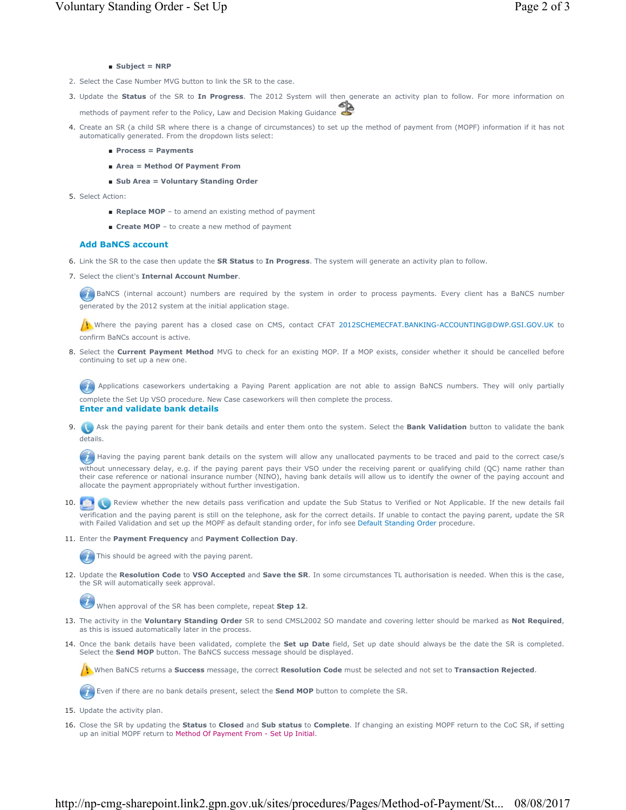## ■ **Subject = NRP**

- 2. Select the Case Number MVG button to link the SR to the case.
- Update the **Status** of the SR to **In Progress**. The 2012 System will then generate an activity plan to follow. For more information on 3. methods of payment refer to the Policy, Law and Decision Making Guidance
- 4. Create an SR (a child SR where there is a change of circumstances) to set up the method of payment from (MOPF) information if it has not automatically generated. From the dropdown lists select:
	- **Process = Payments**
	- **Area = Method Of Payment From**
	- **Sub Area = Voluntary Standing Order**
- 5. Select Action:
	- **Replace MOP** to amend an existing method of payment
	- **Create MOP** to create a new method of payment

#### **Add BaNCS account**

- 6. Link the SR to the case then update the **SR Status** to **In Progress**. The system will generate an activity plan to follow.
- 7. Select the client's Internal Account Number.

**BaNCS** (internal account) numbers are required by the system in order to process payments. Every client has a BaNCS number generated by the 2012 system at the initial application stage.

Where the paying parent has a closed case on CMS, contact CFAT 2012SCHEMECFAT.BANKING-ACCOUNTING@DWP.GSI.GOV.UK to confirm BaNCs account is active.

8. Select the **Current Payment Method** MVG to check for an existing MOP. If a MOP exists, consider whether it should be cancelled before continuing to set up a new one.

(1) Applications caseworkers undertaking a Paying Parent application are not able to assign BaNCS numbers. They will only partially complete the Set Up VSO procedure. New Case caseworkers will then complete the process. **Enter and validate bank details**

Ask the paying parent for their bank details and enter them onto the system. Select the **Bank Validation** button to validate the bank 9. details.

Having the paying parent bank details on the system will allow any unallocated payments to be traced and paid to the correct case/s without unnecessary delay, e.g. if the paying parent pays their VSO under the receiving parent or qualifying child (QC) name rather than their case reference or national insurance number (NINO), having bank details will allow us to identify the owner of the paying account and allocate the payment appropriately without further investigation.

10. **The Review whether the new details pass verification and update the Sub Status to Verified or Not Applicable. If the new details fail** verification and the paying parent is still on the telephone, ask for the correct details. If unable to contact the paying parent, update the SR with Failed Validation and set up the MOPF as default standing order, for info see Default Standing Order procedure.

#### 11. Enter the **Payment Frequency** and **Payment Collection Day**.

This should be agreed with the paying parent.

12. Update the Resolution Code to VSO Accepted and Save the SR. In some circumstances TL authorisation is needed. When this is the case, the SR will automatically seek approval.

When approval of the SR has been complete, repeat **Step 12**.

- 13. The activity in the Voluntary Standing Order SR to send CMSL2002 SO mandate and covering letter should be marked as Not Required, as this is issued automatically later in the process.
- 14. Once the bank details have been validated, complete the **Set up Date** field, Set up date should always be the date the SR is completed. Select the **Send MOP** button. The BaNCS success message should be displayed.

When BaNCS returns a **Success** message, the correct **Resolution Code** must be selected and not set to **Transaction Rejected**.

Even if there are no bank details present, select the **Send MOP** button to complete the SR.

- 15. Update the activity plan.
- 16. Close the SR by updating the **Status** to **Closed** and **Sub status** to **Complete**. If changing an existing MOPF return to the CoC SR, if setting up an initial MOPF return to Method Of Payment From - Set Up Initial.